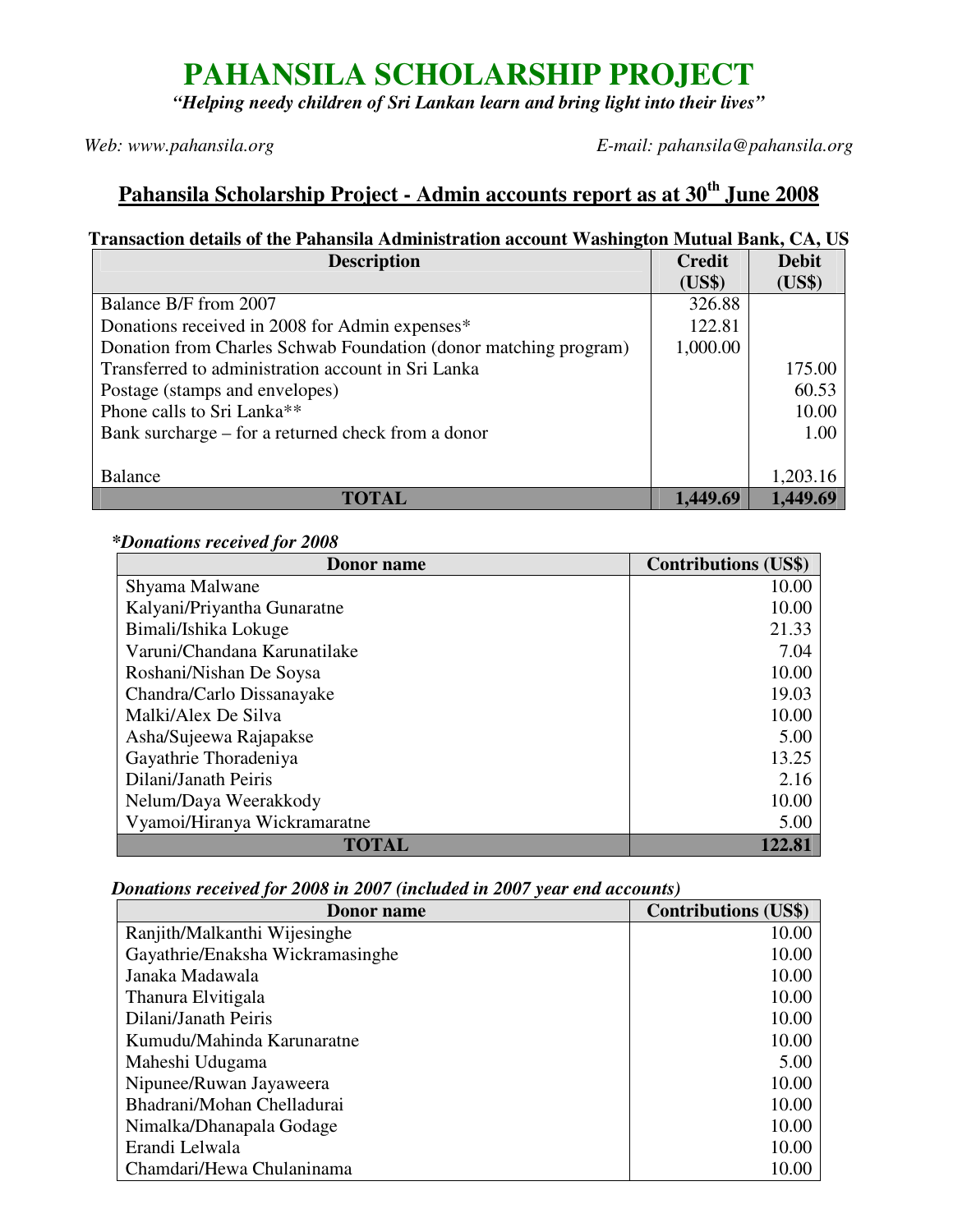# **PAHANSILA SCHOLARSHIP PROJECT**

*"Helping needy children of Sri Lankan learn and bring light into their lives"*

*Web: www.pahansila.org E-mail: pahansila@pahansila.org* 

## **Pahansila Scholarship Project - Admin accounts report as at 30th June 2008**

### **Transaction details of the Pahansila Administration account Washington Mutual Bank, CA, US**

| <b>Description</b>                                               | <b>Credit</b> | <b>Debit</b> |
|------------------------------------------------------------------|---------------|--------------|
|                                                                  | (US\$)        | (US\$)       |
| Balance B/F from 2007                                            | 326.88        |              |
| Donations received in 2008 for Admin expenses*                   | 122.81        |              |
| Donation from Charles Schwab Foundation (donor matching program) | 1,000.00      |              |
| Transferred to administration account in Sri Lanka               |               | 175.00       |
| Postage (stamps and envelopes)                                   |               | 60.53        |
| Phone calls to Sri Lanka**                                       |               | 10.00        |
| Bank surcharge – for a returned check from a donor               |               | 1.00         |
|                                                                  |               |              |
| Balance                                                          |               | 1,203.16     |
| <b>TOTAL</b>                                                     | 1.449.69      | 1,449.69     |

### **\****Donations received for 2008*

| Donor name                   | <b>Contributions (US\$)</b> |
|------------------------------|-----------------------------|
| Shyama Malwane               | 10.00                       |
| Kalyani/Priyantha Gunaratne  | 10.00                       |
| Bimali/Ishika Lokuge         | 21.33                       |
| Varuni/Chandana Karunatilake | 7.04                        |
| Roshani/Nishan De Soysa      | 10.00                       |
| Chandra/Carlo Dissanayake    | 19.03                       |
| Malki/Alex De Silva          | 10.00                       |
| Asha/Sujeewa Rajapakse       | 5.00                        |
| Gayathrie Thoradeniya        | 13.25                       |
| Dilani/Janath Peiris         | 2.16                        |
| Nelum/Daya Weerakkody        | 10.00                       |
| Vyamoi/Hiranya Wickramaratne | 5.00                        |
| <b>TOTAL</b>                 | 122.81                      |

#### *Donations received for 2008 in 2007 (included in 2007 year end accounts)*

| Donor name                       | <b>Contributions (US\$)</b> |
|----------------------------------|-----------------------------|
| Ranjith/Malkanthi Wijesinghe     | 10.00                       |
| Gayathrie/Enaksha Wickramasinghe | 10.00                       |
| Janaka Madawala                  | 10.00                       |
| Thanura Elvitigala               | 10.00                       |
| Dilani/Janath Peiris             | 10.00                       |
| Kumudu/Mahinda Karunaratne       | 10.00                       |
| Maheshi Udugama                  | 5.00                        |
| Nipunee/Ruwan Jayaweera          | 10.00                       |
| Bhadrani/Mohan Chelladurai       | 10.00                       |
| Nimalka/Dhanapala Godage         | 10.00                       |
| Erandi Lelwala                   | 10.00                       |
| Chamdari/Hewa Chulaninama        | 10.00                       |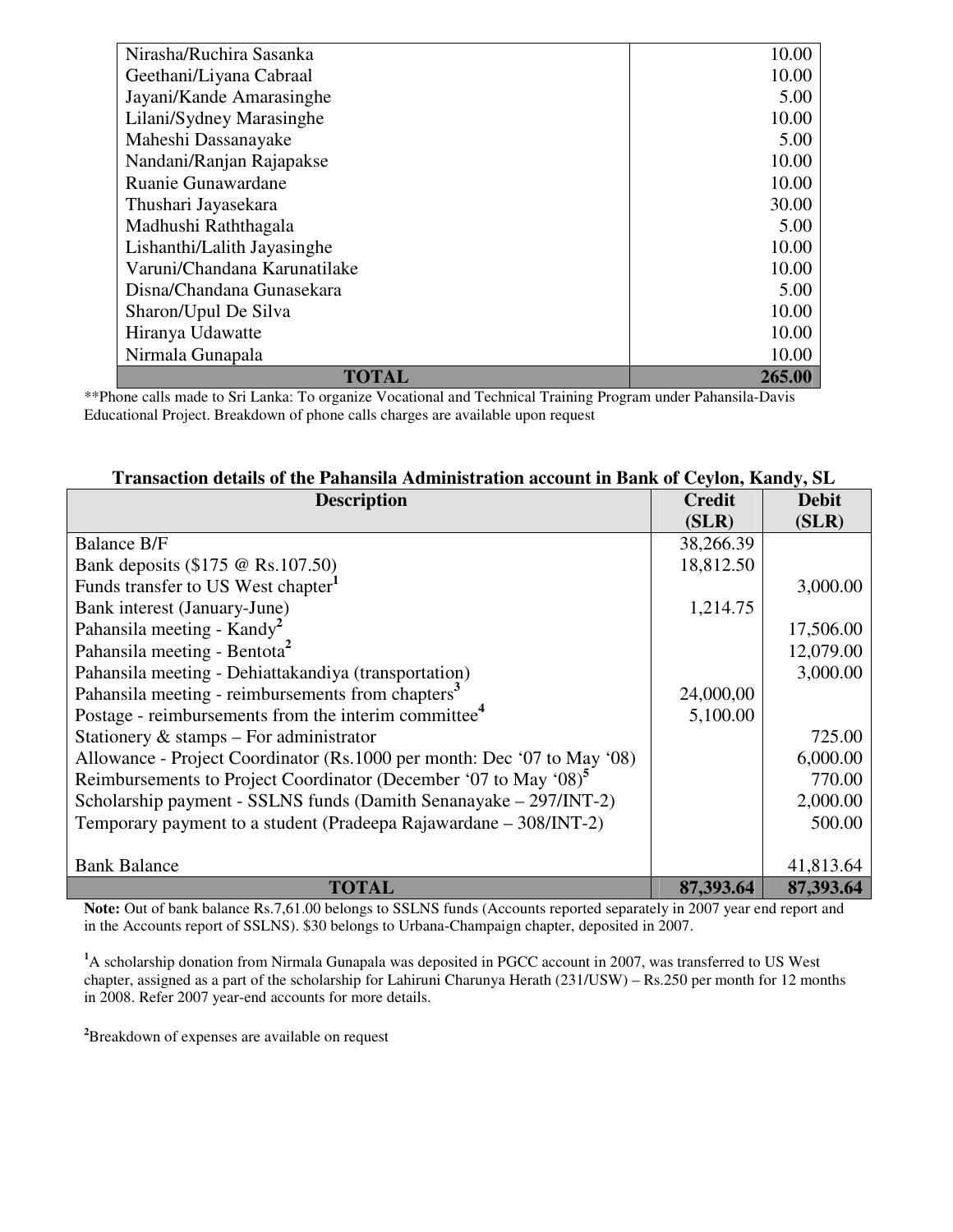| <b>TOTAL</b>                 | 265.00 |
|------------------------------|--------|
| Nirmala Gunapala             | 10.00  |
| Hiranya Udawatte             | 10.00  |
| Sharon/Upul De Silva         | 10.00  |
| Disna/Chandana Gunasekara    | 5.00   |
| Varuni/Chandana Karunatilake | 10.00  |
| Lishanthi/Lalith Jayasinghe  | 10.00  |
| Madhushi Raththagala         | 5.00   |
| Thushari Jayasekara          | 30.00  |
| Ruanie Gunawardane           | 10.00  |
| Nandani/Ranjan Rajapakse     | 10.00  |
| Maheshi Dassanayake          | 5.00   |
| Lilani/Sydney Marasinghe     | 10.00  |
| Jayani/Kande Amarasinghe     | 5.00   |
| Geethani/Liyana Cabraal      | 10.00  |
| Nirasha/Ruchira Sasanka      | 10.00  |

\*\*Phone calls made to Sri Lanka: To organize Vocational and Technical Training Program under Pahansila-Davis Educational Project. Breakdown of phone calls charges are available upon request

| Transaction details of the Pahansila Administration account in Bank of Ceylon, Kandy, SL |
|------------------------------------------------------------------------------------------|
|------------------------------------------------------------------------------------------|

| <b>Description</b>                                                           | <b>Credit</b> | <b>Debit</b> |
|------------------------------------------------------------------------------|---------------|--------------|
|                                                                              | (SLR)         | (SLR)        |
| <b>Balance B/F</b>                                                           | 38,266.39     |              |
| Bank deposits (\$175 @ Rs.107.50)                                            | 18,812.50     |              |
| Funds transfer to US West chapter <sup>1</sup>                               |               | 3,000.00     |
| Bank interest (January-June)                                                 | 1,214.75      |              |
| Pahansila meeting - Kandy <sup>2</sup>                                       |               | 17,506.00    |
| Pahansila meeting - Bentota <sup>2</sup>                                     |               | 12,079.00    |
| Pahansila meeting - Dehiattakandiya (transportation)                         |               | 3,000.00     |
| Pahansila meeting - reimbursements from chapters <sup>3</sup>                | 24,000,00     |              |
| Postage - reimbursements from the interim committee <sup>4</sup>             | 5,100.00      |              |
| Stationery $\&$ stamps – For administrator                                   |               | 725.00       |
| Allowance - Project Coordinator (Rs.1000 per month: Dec '07 to May '08)      |               | 6,000.00     |
| Reimbursements to Project Coordinator (December '07 to May '08) <sup>5</sup> |               | 770.00       |
| Scholarship payment - SSLNS funds (Damith Senanayake - 297/INT-2)            |               | 2,000.00     |
| Temporary payment to a student (Pradeepa Rajawardane – 308/INT-2)            |               | 500.00       |
|                                                                              |               |              |
| <b>Bank Balance</b>                                                          |               | 41,813.64    |
| <b>TOTAL</b>                                                                 | 87,393.64     | 87,393.64    |

Note: Out of bank balance Rs.7,61.00 belongs to SSLNS funds (Accounts reported separately in 2007 year end report and in the Accounts report of SSLNS). \$30 belongs to Urbana-Champaign chapter, deposited in 2007.

<sup>1</sup>A scholarship donation from Nirmala Gunapala was deposited in PGCC account in 2007, was transferred to US West chapter, assigned as a part of the scholarship for Lahiruni Charunya Herath (231/USW) – Rs.250 per month for 12 months in 2008. Refer 2007 year-end accounts for more details.

**<sup>2</sup>**Breakdown of expenses are available on request